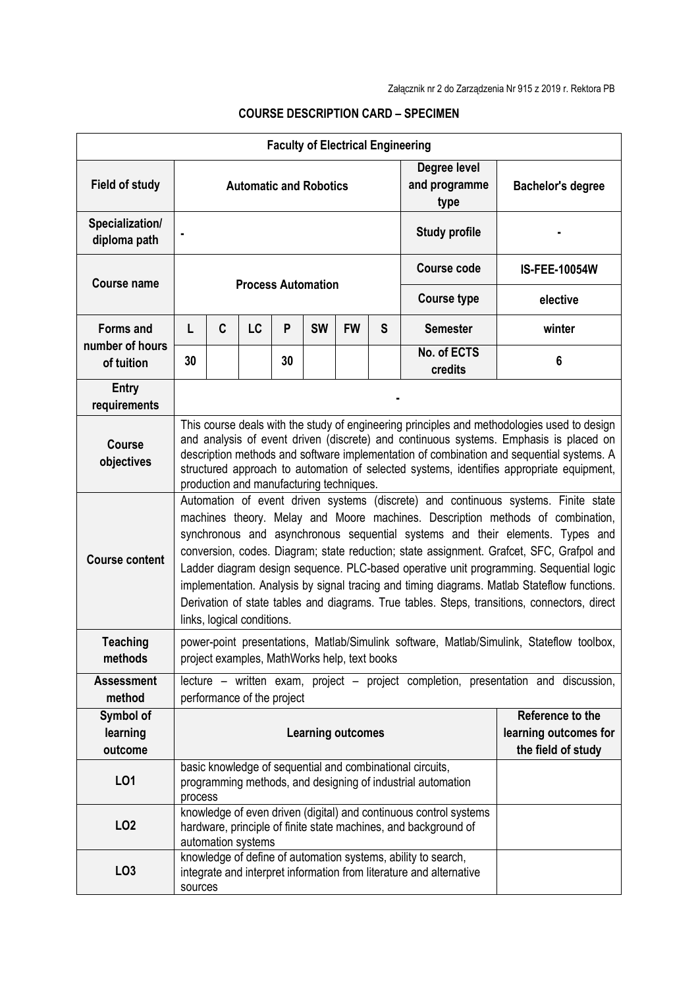| <b>Faculty of Electrical Engineering</b>          |                                                                                                                                                                                                                                                                                                                                                                                                                                                                                                                                                                                                                                                                          |                                                                                                                                                            |    |    |           |           |                                       |                                                                                                                                      |                      |  |
|---------------------------------------------------|--------------------------------------------------------------------------------------------------------------------------------------------------------------------------------------------------------------------------------------------------------------------------------------------------------------------------------------------------------------------------------------------------------------------------------------------------------------------------------------------------------------------------------------------------------------------------------------------------------------------------------------------------------------------------|------------------------------------------------------------------------------------------------------------------------------------------------------------|----|----|-----------|-----------|---------------------------------------|--------------------------------------------------------------------------------------------------------------------------------------|----------------------|--|
| <b>Field of study</b>                             | <b>Automatic and Robotics</b>                                                                                                                                                                                                                                                                                                                                                                                                                                                                                                                                                                                                                                            |                                                                                                                                                            |    |    |           |           | Degree level<br>and programme<br>type | <b>Bachelor's degree</b>                                                                                                             |                      |  |
| Specialization/<br>diploma path                   | <b>Study profile</b>                                                                                                                                                                                                                                                                                                                                                                                                                                                                                                                                                                                                                                                     |                                                                                                                                                            |    |    |           |           |                                       |                                                                                                                                      |                      |  |
| <b>Course name</b>                                | <b>Process Automation</b>                                                                                                                                                                                                                                                                                                                                                                                                                                                                                                                                                                                                                                                |                                                                                                                                                            |    |    |           |           |                                       | <b>Course code</b>                                                                                                                   | <b>IS-FEE-10054W</b> |  |
|                                                   |                                                                                                                                                                                                                                                                                                                                                                                                                                                                                                                                                                                                                                                                          |                                                                                                                                                            |    |    |           |           |                                       | <b>Course type</b>                                                                                                                   | elective             |  |
| <b>Forms and</b><br>number of hours<br>of tuition | L                                                                                                                                                                                                                                                                                                                                                                                                                                                                                                                                                                                                                                                                        | C                                                                                                                                                          | LC | P  | <b>SW</b> | <b>FW</b> | S                                     | <b>Semester</b>                                                                                                                      | winter               |  |
|                                                   | 30                                                                                                                                                                                                                                                                                                                                                                                                                                                                                                                                                                                                                                                                       |                                                                                                                                                            |    | 30 |           |           |                                       | No. of ECTS<br>credits                                                                                                               | 6                    |  |
| <b>Entry</b><br>requirements                      |                                                                                                                                                                                                                                                                                                                                                                                                                                                                                                                                                                                                                                                                          |                                                                                                                                                            |    |    |           |           |                                       |                                                                                                                                      |                      |  |
| <b>Course</b><br>objectives                       | This course deals with the study of engineering principles and methodologies used to design<br>and analysis of event driven (discrete) and continuous systems. Emphasis is placed on<br>description methods and software implementation of combination and sequential systems. A<br>structured approach to automation of selected systems, identifies appropriate equipment,<br>production and manufacturing techniques.                                                                                                                                                                                                                                                 |                                                                                                                                                            |    |    |           |           |                                       |                                                                                                                                      |                      |  |
| <b>Course content</b>                             | Automation of event driven systems (discrete) and continuous systems. Finite state<br>machines theory. Melay and Moore machines. Description methods of combination,<br>synchronous and asynchronous sequential systems and their elements. Types and<br>conversion, codes. Diagram; state reduction; state assignment. Grafcet, SFC, Grafpol and<br>Ladder diagram design sequence. PLC-based operative unit programming. Sequential logic<br>implementation. Analysis by signal tracing and timing diagrams. Matlab Stateflow functions.<br>Derivation of state tables and diagrams. True tables. Steps, transitions, connectors, direct<br>links, logical conditions. |                                                                                                                                                            |    |    |           |           |                                       |                                                                                                                                      |                      |  |
| <b>Teaching</b><br>methods                        | power-point presentations, Matlab/Simulink software, Matlab/Simulink, Stateflow toolbox,<br>project examples, MathWorks help, text books                                                                                                                                                                                                                                                                                                                                                                                                                                                                                                                                 |                                                                                                                                                            |    |    |           |           |                                       |                                                                                                                                      |                      |  |
| <b>Assessment</b><br>method                       | lecture – written exam, project – project completion, presentation and discussion,<br>performance of the project                                                                                                                                                                                                                                                                                                                                                                                                                                                                                                                                                         |                                                                                                                                                            |    |    |           |           |                                       |                                                                                                                                      |                      |  |
| Symbol of<br>learning<br>outcome                  | Reference to the<br><b>Learning outcomes</b><br>learning outcomes for<br>the field of study                                                                                                                                                                                                                                                                                                                                                                                                                                                                                                                                                                              |                                                                                                                                                            |    |    |           |           |                                       |                                                                                                                                      |                      |  |
| LO1                                               | basic knowledge of sequential and combinational circuits,<br>programming methods, and designing of industrial automation<br>process                                                                                                                                                                                                                                                                                                                                                                                                                                                                                                                                      |                                                                                                                                                            |    |    |           |           |                                       |                                                                                                                                      |                      |  |
| LO <sub>2</sub>                                   |                                                                                                                                                                                                                                                                                                                                                                                                                                                                                                                                                                                                                                                                          | knowledge of even driven (digital) and continuous control systems<br>hardware, principle of finite state machines, and background of<br>automation systems |    |    |           |           |                                       |                                                                                                                                      |                      |  |
| LO <sub>3</sub>                                   | sources                                                                                                                                                                                                                                                                                                                                                                                                                                                                                                                                                                                                                                                                  |                                                                                                                                                            |    |    |           |           |                                       | knowledge of define of automation systems, ability to search,<br>integrate and interpret information from literature and alternative |                      |  |

## **COURSE DESCRIPTION CARD – SPECIMEN**